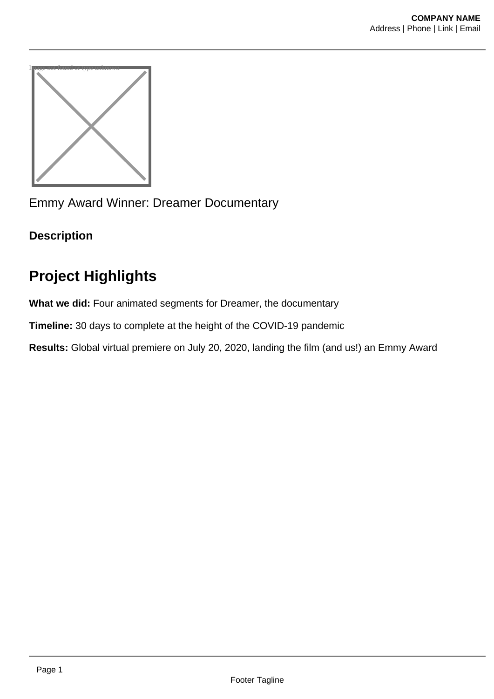

Emmy Award Winner: Dreamer Documentary

### **Description**

# **Project Highlights**

**What we did:** Four animated segments for Dreamer, the documentary

**Timeline:** 30 days to complete at the height of the COVID-19 pandemic

**Results:** Global virtual premiere on July 20, 2020, landing the film (and us!) an Emmy Award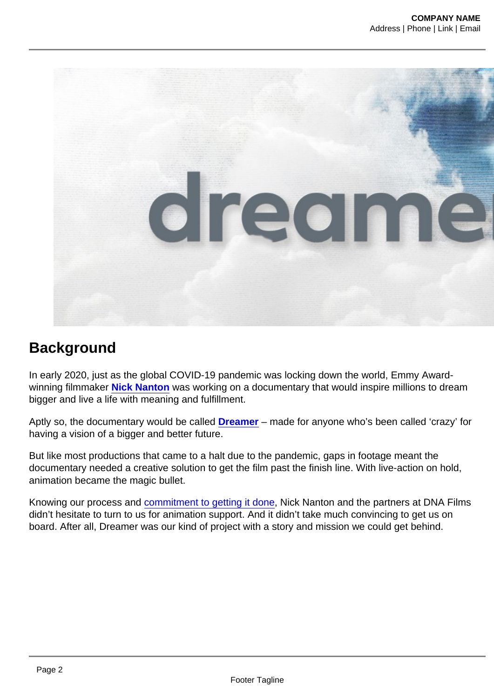## **Background**

In early 2020, just as the global COVID-19 pandemic was locking down the world, Emmy Award-winning filmmaker [Nick Nanton](https://nicknanton.com/) was working on a documentary that would inspire millions to dream bigger and live a life with meaning and fulfillment.

Aptly so, the documentary would be called [Dreamer](https://dreamerdocumentary.com/) – made for anyone who's been called 'crazy' for having a vision of a bigger and better future.

But like most productions that came to a halt due to the pandemic, gaps in footage meant the documentary needed a creative solution to get the film past the finish line. With live-action on hold, animation became the magic bullet.

Knowing our process and [commitment to getting it done](https://www.foodfightstudios.com/services/), Nick Nanton and the partners at DNA Films didn't hesitate to turn to us for animation support. And it didn't take much convincing to get us on board. After all, Dreamer was our kind of project with a story and mission we could get behind.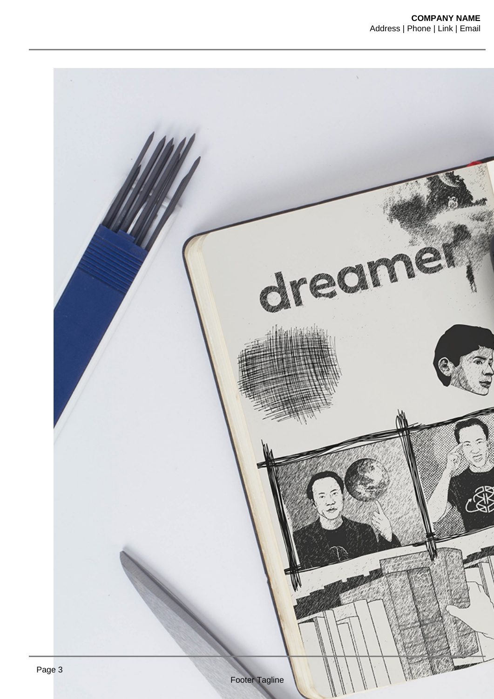